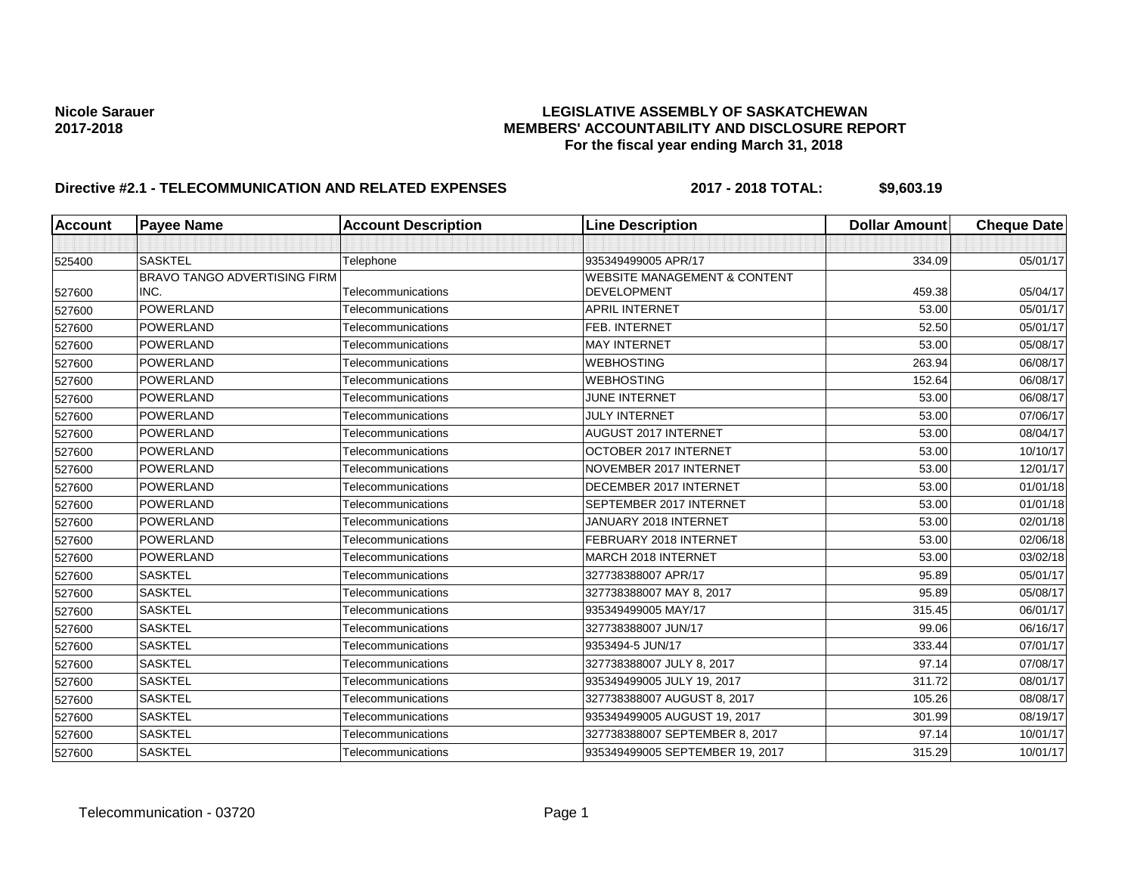### Nicole Sarauer<br>**LEGISLATIVE ASSEMBLY OF SASKATCHEWAN**<br>MEMBERS' ACCOUNTABILITY AND DISCLOSURE REF **2017-2018 MEMBERS' ACCOUNTABILITY AND DISCLOSURE REPORT For the fiscal year ending March 31, 2018**

# **Directive #2.1 - TELECOMMUNICATION AND RELATED EXPENSES** 2017 - 2018 TOTAL: \$9,603.19

| <b>Account</b> | <b>Payee Name</b>                   | <b>Account Description</b> | <b>Line Description</b>                 | <b>Dollar Amount</b> | <b>Cheque Date</b> |
|----------------|-------------------------------------|----------------------------|-----------------------------------------|----------------------|--------------------|
|                |                                     |                            |                                         |                      |                    |
| 525400         | <b>SASKTEL</b>                      | Telephone                  | 935349499005 APR/17                     | 334.09               | 05/01/17           |
|                | <b>BRAVO TANGO ADVERTISING FIRM</b> |                            | <b>WEBSITE MANAGEMENT &amp; CONTENT</b> |                      |                    |
| 527600         | INC.                                | Telecommunications         | <b>DEVELOPMENT</b>                      | 459.38               | 05/04/17           |
| 527600         | POWERLAND                           | Telecommunications         | <b>APRIL INTERNET</b>                   | 53.00                | 05/01/17           |
| 527600         | POWERLAND                           | Telecommunications         | FEB. INTERNET                           | 52.50                | 05/01/17           |
| 527600         | POWERLAND                           | Telecommunications         | <b>MAY INTERNET</b>                     | 53.00                | 05/08/17           |
| 527600         | POWERLAND                           | Telecommunications         | <b>WEBHOSTING</b>                       | 263.94               | 06/08/17           |
| 527600         | POWERLAND                           | Telecommunications         | <b>WEBHOSTING</b>                       | 152.64               | 06/08/17           |
| 527600         | POWERLAND                           | Telecommunications         | JUNE INTERNET                           | 53.00                | 06/08/17           |
| 527600         | POWERLAND                           | Telecommunications         | <b>JULY INTERNET</b>                    | 53.00                | 07/06/17           |
| 527600         | POWERLAND                           | Telecommunications         | AUGUST 2017 INTERNET                    | 53.00                | 08/04/17           |
| 527600         | POWERLAND                           | Telecommunications         | OCTOBER 2017 INTERNET                   | 53.00                | 10/10/17           |
| 527600         | POWERLAND                           | Telecommunications         | NOVEMBER 2017 INTERNET                  | 53.00                | 12/01/17           |
| 527600         | POWERLAND                           | Telecommunications         | DECEMBER 2017 INTERNET                  | 53.00                | 01/01/18           |
| 527600         | POWERLAND                           | Telecommunications         | SEPTEMBER 2017 INTERNET                 | 53.00                | 01/01/18           |
| 527600         | POWERLAND                           | Telecommunications         | JANUARY 2018 INTERNET                   | 53.00                | 02/01/18           |
| 527600         | POWERLAND                           | Telecommunications         | FEBRUARY 2018 INTERNET                  | 53.00                | 02/06/18           |
| 527600         | POWERLAND                           | Telecommunications         | <b>MARCH 2018 INTERNET</b>              | 53.00                | 03/02/18           |
| 527600         | <b>SASKTEL</b>                      | Telecommunications         | 327738388007 APR/17                     | 95.89                | 05/01/17           |
| 527600         | <b>SASKTEL</b>                      | Telecommunications         | 327738388007 MAY 8, 2017                | 95.89                | 05/08/17           |
| 527600         | <b>SASKTEL</b>                      | Telecommunications         | 935349499005 MAY/17                     | 315.45               | 06/01/17           |
| 527600         | <b>SASKTEL</b>                      | Telecommunications         | 327738388007 JUN/17                     | 99.06                | 06/16/17           |
| 527600         | <b>SASKTEL</b>                      | Telecommunications         | 9353494-5 JUN/17                        | 333.44               | 07/01/17           |
| 527600         | <b>SASKTEL</b>                      | Telecommunications         | 327738388007 JULY 8, 2017               | 97.14                | 07/08/17           |
| 527600         | <b>SASKTEL</b>                      | Telecommunications         | 935349499005 JULY 19, 2017              | 311.72               | 08/01/17           |
| 527600         | <b>SASKTEL</b>                      | Telecommunications         | 327738388007 AUGUST 8, 2017             | 105.26               | 08/08/17           |
| 527600         | <b>SASKTEL</b>                      | Telecommunications         | 935349499005 AUGUST 19, 2017            | 301.99               | 08/19/17           |
| 527600         | <b>SASKTEL</b>                      | Telecommunications         | 327738388007 SEPTEMBER 8, 2017          | 97.14                | 10/01/17           |
| 527600         | <b>SASKTEL</b>                      | Telecommunications         | 935349499005 SEPTEMBER 19, 2017         | 315.29               | 10/01/17           |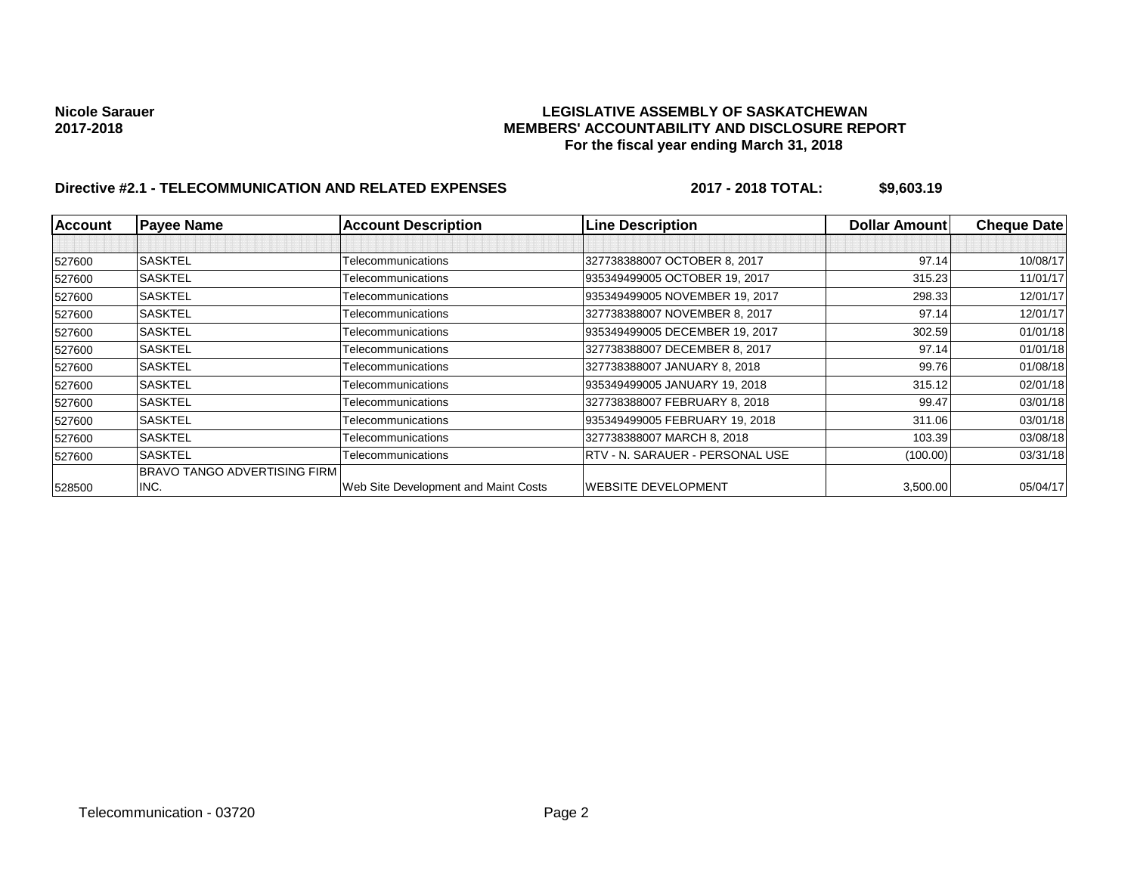### Nicole Sarauer<br>**LEGISLATIVE ASSEMBLY OF SASKATCHEWAN**<br>MEMBERS' ACCOUNTABILITY AND DISCLOSURE REF **2017-2018 MEMBERS' ACCOUNTABILITY AND DISCLOSURE REPORT For the fiscal year ending March 31, 2018**

# **Directive #2.1 - TELECOMMUNICATION AND RELATED EXPENSES** 2017 - 2018 TOTAL: \$9,603.19

| <b>Account</b> | <b>Payee Name</b>            | <b>Account Description</b>           | <b>Line Description</b>         | <b>Dollar Amountl</b> | <b>Cheque Date</b> |
|----------------|------------------------------|--------------------------------------|---------------------------------|-----------------------|--------------------|
|                |                              |                                      |                                 |                       |                    |
| 527600         | <b>SASKTEL</b>               | Telecommunications                   | 327738388007 OCTOBER 8, 2017    | 97.14                 | 10/08/17           |
| 527600         | <b>SASKTEL</b>               | Telecommunications                   | 935349499005 OCTOBER 19, 2017   | 315.23                | 11/01/17           |
| 527600         | <b>SASKTEL</b>               | Telecommunications                   | 935349499005 NOVEMBER 19, 2017  | 298.33                | 12/01/17           |
| 527600         | <b>SASKTEL</b>               | Telecommunications                   | 327738388007 NOVEMBER 8, 2017   | 97.14                 | 12/01/17           |
| 527600         | <b>SASKTEL</b>               | Telecommunications                   | 935349499005 DECEMBER 19, 2017  | 302.59                | 01/01/18           |
| 527600         | <b>SASKTEL</b>               | Telecommunications                   | 327738388007 DECEMBER 8, 2017   | 97.14                 | 01/01/18           |
| 527600         | <b>SASKTEL</b>               | Telecommunications                   | 327738388007 JANUARY 8, 2018    | 99.76                 | 01/08/18           |
| 527600         | <b>SASKTEL</b>               | Telecommunications                   | 935349499005 JANUARY 19, 2018   | 315.12                | 02/01/18           |
| 527600         | <b>SASKTEL</b>               | Telecommunications                   | 327738388007 FEBRUARY 8, 2018   | 99.47                 | 03/01/18           |
| 527600         | <b>SASKTEL</b>               | Telecommunications                   | 935349499005 FEBRUARY 19, 2018  | 311.06                | 03/01/18           |
| 527600         | <b>SASKTEL</b>               | Telecommunications                   | 327738388007 MARCH 8, 2018      | 103.39                | 03/08/18           |
| 527600         | <b>SASKTEL</b>               | Telecommunications                   | RTV - N. SARAUER - PERSONAL USE | (100.00)              | 03/31/18           |
|                | BRAVO TANGO ADVERTISING FIRM |                                      |                                 |                       |                    |
| 528500         | INC.                         | Web Site Development and Maint Costs | <b>WEBSITE DEVELOPMENT</b>      | 3,500.00              | 05/04/17           |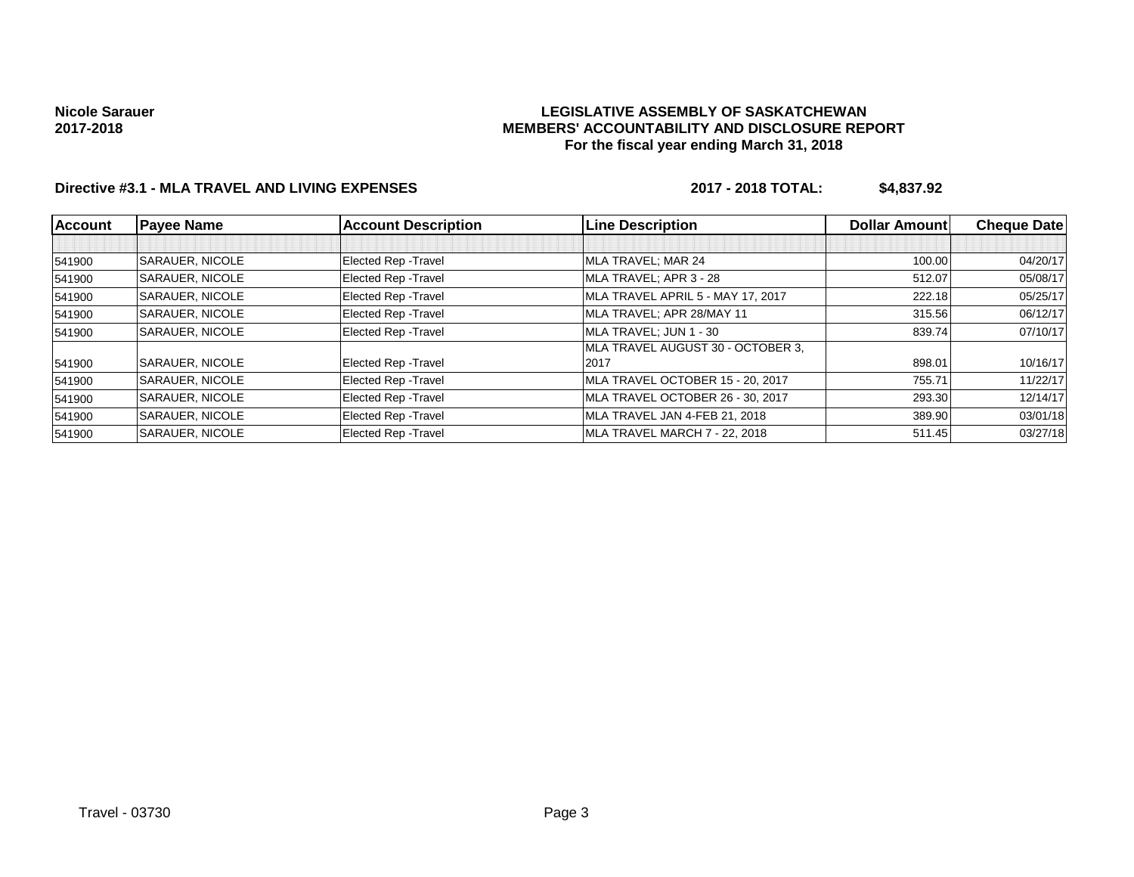### **LEGISLATIVE ASSEMBLY OF SASKATCHEWAN MEMBERS' ACCOUNTABILITY AND DISCLOSURE REPORT For the fiscal year ending March 31, 2018**

## **Directive #3.1 - MLA TRAVEL AND LIVING EXPENSES 2017 - 2018 TOTAL: \$4,837.92**

| <b>Account</b> | <b>Payee Name</b>      | <b>Account Description</b>  | <b>Line Description</b>           | <b>Dollar Amountl</b> | <b>Cheque Date</b> |
|----------------|------------------------|-----------------------------|-----------------------------------|-----------------------|--------------------|
|                |                        |                             |                                   |                       |                    |
| 541900         | <b>SARAUER, NICOLE</b> | Elected Rep - Travel        | MLA TRAVEL; MAR 24                | 100.00                | 04/20/17           |
| 541900         | <b>SARAUER, NICOLE</b> | Elected Rep - Travel        | MLA TRAVEL; APR 3 - 28            | 512.07                | 05/08/17           |
| 541900         | <b>SARAUER, NICOLE</b> | <b>Elected Rep - Travel</b> | MLA TRAVEL APRIL 5 - MAY 17, 2017 | 222.18                | 05/25/17           |
| 541900         | <b>SARAUER, NICOLE</b> | <b>Elected Rep - Travel</b> | MLA TRAVEL; APR 28/MAY 11         | 315.56                | 06/12/17           |
| 541900         | <b>SARAUER, NICOLE</b> | <b>Elected Rep - Travel</b> | MLA TRAVEL: JUN 1 - 30            | 839.74                | 07/10/17           |
|                |                        |                             | MLA TRAVEL AUGUST 30 - OCTOBER 3. |                       |                    |
| 541900         | <b>SARAUER, NICOLE</b> | Elected Rep - Travel        | 2017                              | 898.01                | 10/16/17           |
| 541900         | SARAUER, NICOLE        | <b>Elected Rep - Travel</b> | MLA TRAVEL OCTOBER 15 - 20, 2017  | 755.71                | 11/22/17           |
| 541900         | <b>SARAUER, NICOLE</b> | Elected Rep - Travel        | MLA TRAVEL OCTOBER 26 - 30, 2017  | 293.30                | 12/14/17           |
| 541900         | <b>SARAUER, NICOLE</b> | Elected Rep - Travel        | MLA TRAVEL JAN 4-FEB 21, 2018     | 389.90                | 03/01/18           |
| 541900         | <b>SARAUER, NICOLE</b> | <b>Elected Rep - Travel</b> | MLA TRAVEL MARCH 7 - 22, 2018     | 511.45                | 03/27/18           |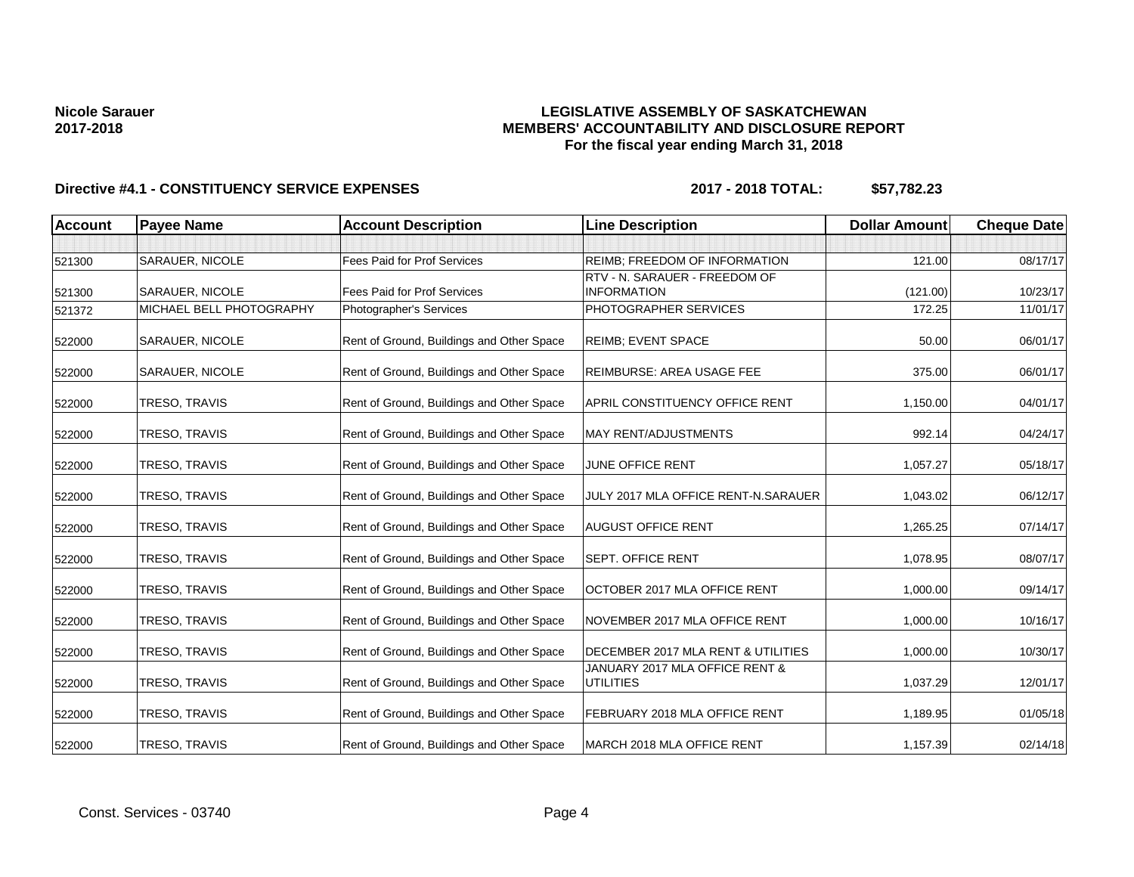### **LEGISLATIVE ASSEMBLY OF SASKATCHEWAN MEMBERS' ACCOUNTABILITY AND DISCLOSURE REPORT For the fiscal year ending March 31, 2018**

| <b>Account</b> | <b>Payee Name</b>        | <b>Account Description</b>                | <b>Line Description</b>                            | <b>Dollar Amount</b> | <b>Cheque Date</b> |
|----------------|--------------------------|-------------------------------------------|----------------------------------------------------|----------------------|--------------------|
|                |                          |                                           |                                                    |                      |                    |
| 521300         | SARAUER, NICOLE          | Fees Paid for Prof Services               | REIMB; FREEDOM OF INFORMATION                      | 121.00               | 08/17/17           |
|                |                          |                                           | RTV - N. SARAUER - FREEDOM OF                      |                      |                    |
| 521300         | SARAUER, NICOLE          | Fees Paid for Prof Services               | <b>INFORMATION</b>                                 | (121.00)             | 10/23/17           |
| 521372         | MICHAEL BELL PHOTOGRAPHY | Photographer's Services                   | PHOTOGRAPHER SERVICES                              | 172.25               | 11/01/17           |
| 522000         | SARAUER, NICOLE          | Rent of Ground, Buildings and Other Space | <b>REIMB: EVENT SPACE</b>                          | 50.00                | 06/01/17           |
| 522000         | SARAUER, NICOLE          | Rent of Ground, Buildings and Other Space | REIMBURSE: AREA USAGE FEE                          | 375.00               | 06/01/17           |
| 522000         | TRESO, TRAVIS            | Rent of Ground, Buildings and Other Space | APRIL CONSTITUENCY OFFICE RENT                     | 1,150.00             | 04/01/17           |
| 522000         | TRESO, TRAVIS            | Rent of Ground, Buildings and Other Space | <b>MAY RENT/ADJUSTMENTS</b>                        | 992.14               | 04/24/17           |
| 522000         | TRESO, TRAVIS            | Rent of Ground, Buildings and Other Space | JUNE OFFICE RENT                                   | 1,057.27             | 05/18/17           |
| 522000         | TRESO, TRAVIS            | Rent of Ground, Buildings and Other Space | JULY 2017 MLA OFFICE RENT-N.SARAUER                | 1,043.02             | 06/12/17           |
| 522000         | TRESO, TRAVIS            | Rent of Ground, Buildings and Other Space | <b>AUGUST OFFICE RENT</b>                          | 1,265.25             | 07/14/17           |
| 522000         | TRESO, TRAVIS            | Rent of Ground, Buildings and Other Space | <b>SEPT. OFFICE RENT</b>                           | 1,078.95             | 08/07/17           |
| 522000         | TRESO, TRAVIS            | Rent of Ground, Buildings and Other Space | OCTOBER 2017 MLA OFFICE RENT                       | 1,000.00             | 09/14/17           |
| 522000         | TRESO, TRAVIS            | Rent of Ground, Buildings and Other Space | NOVEMBER 2017 MLA OFFICE RENT                      | 1,000.00             | 10/16/17           |
| 522000         | TRESO, TRAVIS            | Rent of Ground, Buildings and Other Space | DECEMBER 2017 MLA RENT & UTILITIES                 | 1,000.00             | 10/30/17           |
| 522000         | TRESO, TRAVIS            | Rent of Ground, Buildings and Other Space | JANUARY 2017 MLA OFFICE RENT &<br><b>UTILITIES</b> | 1.037.29             | 12/01/17           |
| 522000         | TRESO, TRAVIS            | Rent of Ground, Buildings and Other Space | FEBRUARY 2018 MLA OFFICE RENT                      | 1,189.95             | 01/05/18           |
| 522000         | TRESO, TRAVIS            | Rent of Ground, Buildings and Other Space | MARCH 2018 MLA OFFICE RENT                         | 1,157.39             | 02/14/18           |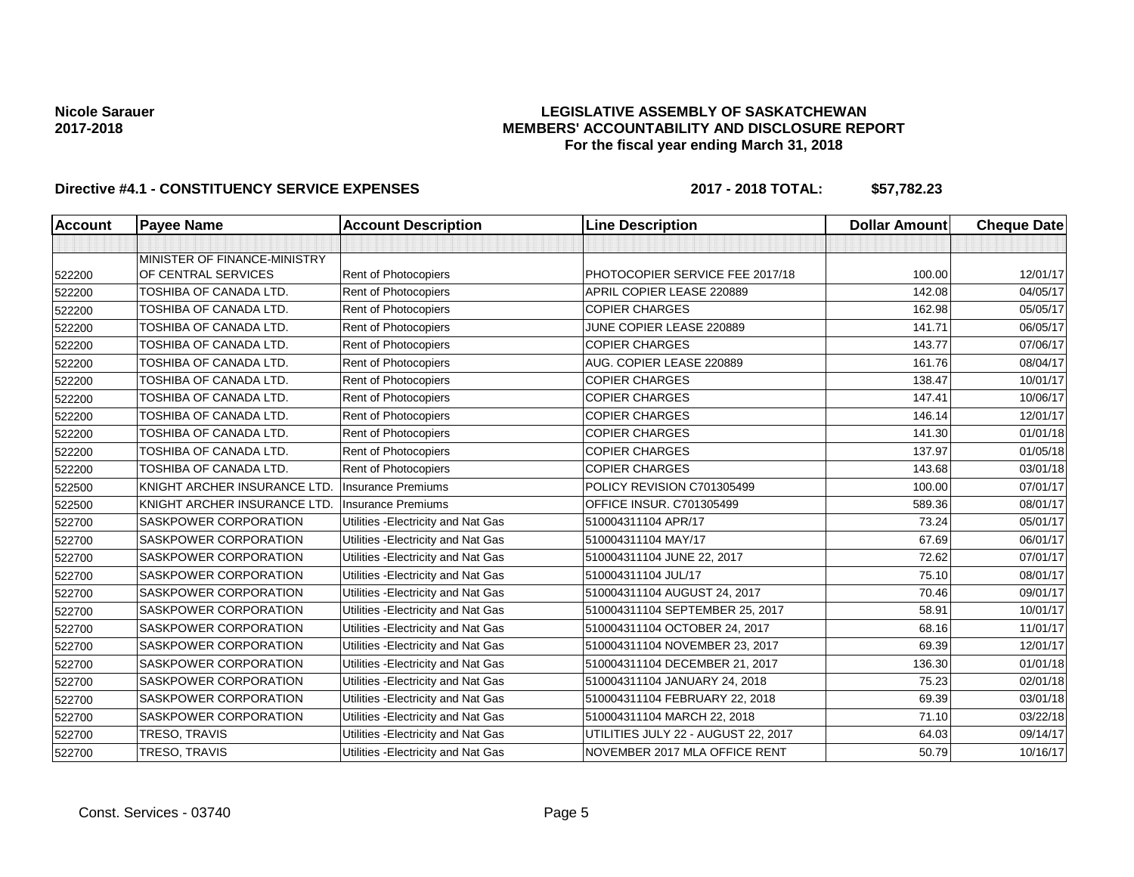#### **LEGISLATIVE ASSEMBLY OF SASKATCHEWAN MEMBERS' ACCOUNTABILITY AND DISCLOSURE REPORT For the fiscal year ending March 31, 2018**

| <b>Account</b> | <b>Payee Name</b>             | <b>Account Description</b>          | <b>Line Description</b>             | <b>Dollar Amount</b> | <b>Cheque Date</b> |
|----------------|-------------------------------|-------------------------------------|-------------------------------------|----------------------|--------------------|
|                |                               |                                     |                                     |                      |                    |
|                | MINISTER OF FINANCE-MINISTRY  |                                     |                                     |                      |                    |
| 522200         | OF CENTRAL SERVICES           | Rent of Photocopiers                | PHOTOCOPIER SERVICE FEE 2017/18     | 100.00               | 12/01/17           |
| 522200         | <b>TOSHIBA OF CANADA LTD.</b> | Rent of Photocopiers                | APRIL COPIER LEASE 220889           | 142.08               | 04/05/17           |
| 522200         | TOSHIBA OF CANADA LTD.        | Rent of Photocopiers                | <b>COPIER CHARGES</b>               | 162.98               | 05/05/17           |
| 522200         | TOSHIBA OF CANADA LTD.        | Rent of Photocopiers                | JUNE COPIER LEASE 220889            | 141.71               | 06/05/17           |
| 522200         | TOSHIBA OF CANADA LTD.        | Rent of Photocopiers                | <b>COPIER CHARGES</b>               | 143.77               | 07/06/17           |
| 522200         | <b>TOSHIBA OF CANADA LTD.</b> | Rent of Photocopiers                | AUG. COPIER LEASE 220889            | 161.76               | 08/04/17           |
| 522200         | TOSHIBA OF CANADA LTD.        | Rent of Photocopiers                | <b>COPIER CHARGES</b>               | 138.47               | 10/01/17           |
| 522200         | TOSHIBA OF CANADA LTD.        | Rent of Photocopiers                | <b>COPIER CHARGES</b>               | 147.41               | 10/06/17           |
| 522200         | <b>TOSHIBA OF CANADA LTD.</b> | Rent of Photocopiers                | <b>COPIER CHARGES</b>               | 146.14               | 12/01/17           |
| 522200         | TOSHIBA OF CANADA LTD.        | <b>Rent of Photocopiers</b>         | <b>COPIER CHARGES</b>               | 141.30               | 01/01/18           |
| 522200         | <b>TOSHIBA OF CANADA LTD.</b> | Rent of Photocopiers                | <b>COPIER CHARGES</b>               | 137.97               | 01/05/18           |
| 522200         | TOSHIBA OF CANADA LTD.        | Rent of Photocopiers                | <b>COPIER CHARGES</b>               | 143.68               | 03/01/18           |
| 522500         | KNIGHT ARCHER INSURANCE LTD.  | <b>Insurance Premiums</b>           | POLICY REVISION C701305499          | 100.00               | 07/01/17           |
| 522500         | KNIGHT ARCHER INSURANCE LTD.  | <b>Insurance Premiums</b>           | <b>OFFICE INSUR. C701305499</b>     | 589.36               | 08/01/17           |
| 522700         | SASKPOWER CORPORATION         | Utilities - Electricity and Nat Gas | 510004311104 APR/17                 | 73.24                | 05/01/17           |
| 522700         | SASKPOWER CORPORATION         | Utilities - Electricity and Nat Gas | 510004311104 MAY/17                 | 67.69                | 06/01/17           |
| 522700         | SASKPOWER CORPORATION         | Utilities - Electricity and Nat Gas | 510004311104 JUNE 22, 2017          | 72.62                | 07/01/17           |
| 522700         | SASKPOWER CORPORATION         | Utilities - Electricity and Nat Gas | 510004311104 JUL/17                 | 75.10                | 08/01/17           |
| 522700         | SASKPOWER CORPORATION         | Utilities - Electricity and Nat Gas | 510004311104 AUGUST 24, 2017        | 70.46                | 09/01/17           |
| 522700         | SASKPOWER CORPORATION         | Utilities - Electricity and Nat Gas | 510004311104 SEPTEMBER 25, 2017     | 58.91                | 10/01/17           |
| 522700         | SASKPOWER CORPORATION         | Utilities - Electricity and Nat Gas | 510004311104 OCTOBER 24, 2017       | 68.16                | 11/01/17           |
| 522700         | SASKPOWER CORPORATION         | Utilities - Electricity and Nat Gas | 510004311104 NOVEMBER 23, 2017      | 69.39                | 12/01/17           |
| 522700         | SASKPOWER CORPORATION         | Utilities - Electricity and Nat Gas | 510004311104 DECEMBER 21, 2017      | 136.30               | 01/01/18           |
| 522700         | SASKPOWER CORPORATION         | Utilities - Electricity and Nat Gas | 510004311104 JANUARY 24, 2018       | 75.23                | 02/01/18           |
| 522700         | SASKPOWER CORPORATION         | Utilities - Electricity and Nat Gas | 510004311104 FEBRUARY 22, 2018      | 69.39                | 03/01/18           |
| 522700         | SASKPOWER CORPORATION         | Utilities - Electricity and Nat Gas | 510004311104 MARCH 22, 2018         | 71.10                | 03/22/18           |
| 522700         | TRESO, TRAVIS                 | Utilities - Electricity and Nat Gas | UTILITIES JULY 22 - AUGUST 22, 2017 | 64.03                | 09/14/17           |
| 522700         | TRESO, TRAVIS                 | Utilities - Electricity and Nat Gas | NOVEMBER 2017 MLA OFFICE RENT       | 50.79                | 10/16/17           |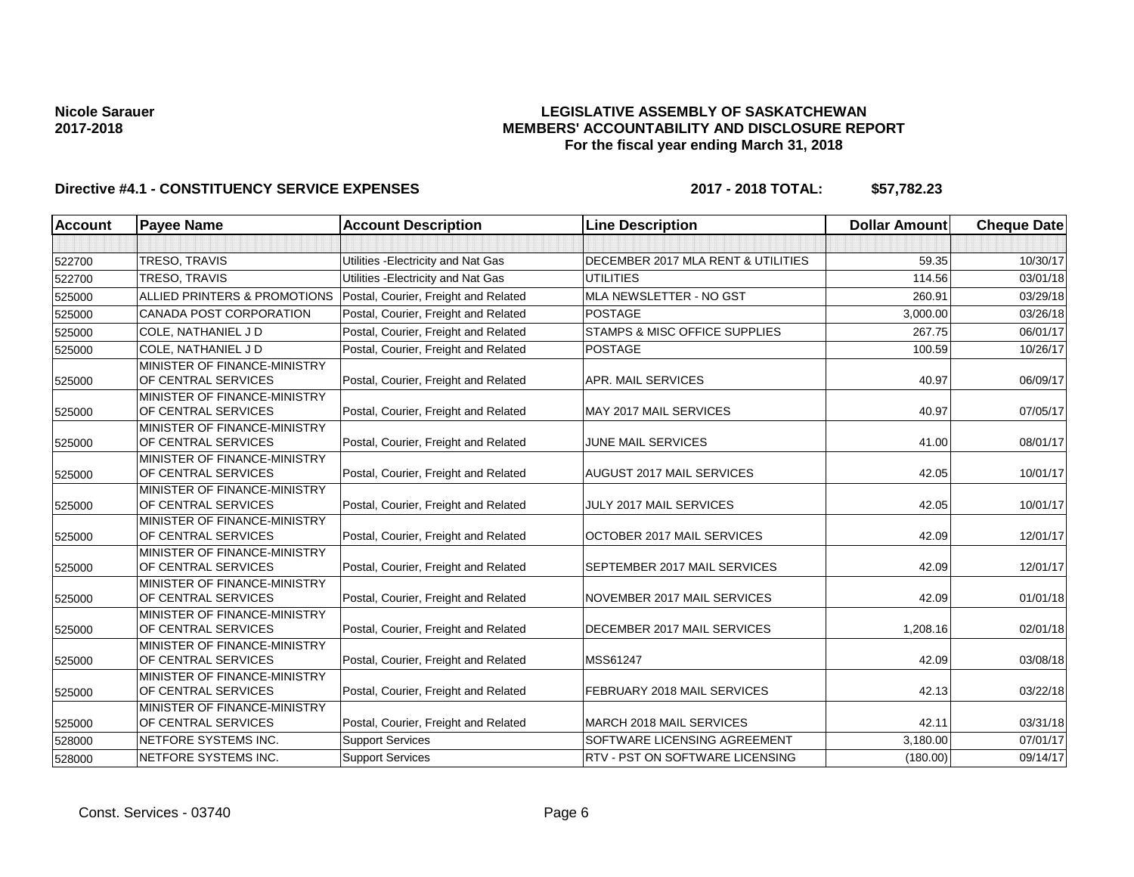### **LEGISLATIVE ASSEMBLY OF SASKATCHEWAN MEMBERS' ACCOUNTABILITY AND DISCLOSURE REPORT For the fiscal year ending March 31, 2018**

| <b>Account</b> | <b>Payee Name</b>                                   | <b>Account Description</b>           | <b>Line Description</b>            | <b>Dollar Amount</b> | <b>Cheque Date</b> |
|----------------|-----------------------------------------------------|--------------------------------------|------------------------------------|----------------------|--------------------|
|                |                                                     |                                      |                                    |                      |                    |
| 522700         | TRESO, TRAVIS                                       | Utilities - Electricity and Nat Gas  | DECEMBER 2017 MLA RENT & UTILITIES | 59.35                | 10/30/17           |
| 522700         | <b>TRESO, TRAVIS</b>                                | Utilities - Electricity and Nat Gas  | <b>UTILITIES</b>                   | 114.56               | 03/01/18           |
| 525000         | ALLIED PRINTERS & PROMOTIONS                        | Postal, Courier, Freight and Related | MLA NEWSLETTER - NO GST            | 260.91               | 03/29/18           |
| 525000         | CANADA POST CORPORATION                             | Postal, Courier, Freight and Related | <b>POSTAGE</b>                     | 3,000.00             | 03/26/18           |
| 525000         | COLE, NATHANIEL J D                                 | Postal, Courier, Freight and Related | STAMPS & MISC OFFICE SUPPLIES      | 267.75               | 06/01/17           |
| 525000         | COLE. NATHANIEL J D                                 | Postal, Courier, Freight and Related | <b>POSTAGE</b>                     | 100.59               | 10/26/17           |
| 525000         | MINISTER OF FINANCE-MINISTRY<br>OF CENTRAL SERVICES | Postal, Courier, Freight and Related | APR. MAIL SERVICES                 | 40.97                | 06/09/17           |
| 525000         | MINISTER OF FINANCE-MINISTRY<br>OF CENTRAL SERVICES | Postal, Courier, Freight and Related | MAY 2017 MAIL SERVICES             | 40.97                | 07/05/17           |
| 525000         | MINISTER OF FINANCE-MINISTRY<br>OF CENTRAL SERVICES | Postal, Courier, Freight and Related | <b>JUNE MAIL SERVICES</b>          | 41.00                | 08/01/17           |
| 525000         | MINISTER OF FINANCE-MINISTRY<br>OF CENTRAL SERVICES | Postal, Courier, Freight and Related | AUGUST 2017 MAIL SERVICES          | 42.05                | 10/01/17           |
| 525000         | MINISTER OF FINANCE-MINISTRY<br>OF CENTRAL SERVICES | Postal, Courier, Freight and Related | JULY 2017 MAIL SERVICES            | 42.05                | 10/01/17           |
| 525000         | MINISTER OF FINANCE-MINISTRY<br>OF CENTRAL SERVICES | Postal, Courier, Freight and Related | OCTOBER 2017 MAIL SERVICES         | 42.09                | 12/01/17           |
| 525000         | MINISTER OF FINANCE-MINISTRY<br>OF CENTRAL SERVICES | Postal, Courier, Freight and Related | SEPTEMBER 2017 MAIL SERVICES       | 42.09                | 12/01/17           |
| 525000         | MINISTER OF FINANCE-MINISTRY<br>OF CENTRAL SERVICES | Postal, Courier, Freight and Related | NOVEMBER 2017 MAIL SERVICES        | 42.09                | 01/01/18           |
| 525000         | MINISTER OF FINANCE-MINISTRY<br>OF CENTRAL SERVICES | Postal, Courier, Freight and Related | DECEMBER 2017 MAIL SERVICES        | 1,208.16             | 02/01/18           |
| 525000         | MINISTER OF FINANCE-MINISTRY<br>OF CENTRAL SERVICES | Postal, Courier, Freight and Related | MSS61247                           | 42.09                | 03/08/18           |
| 525000         | MINISTER OF FINANCE-MINISTRY<br>OF CENTRAL SERVICES | Postal, Courier, Freight and Related | FEBRUARY 2018 MAIL SERVICES        | 42.13                | 03/22/18           |
| 525000         | MINISTER OF FINANCE-MINISTRY<br>OF CENTRAL SERVICES | Postal, Courier, Freight and Related | MARCH 2018 MAIL SERVICES           | 42.11                | 03/31/18           |
| 528000         | NETFORE SYSTEMS INC.                                | <b>Support Services</b>              | SOFTWARE LICENSING AGREEMENT       | 3,180.00             | 07/01/17           |
| 528000         | NETFORE SYSTEMS INC.                                | <b>Support Services</b>              | RTV - PST ON SOFTWARE LICENSING    | (180.00)             | 09/14/17           |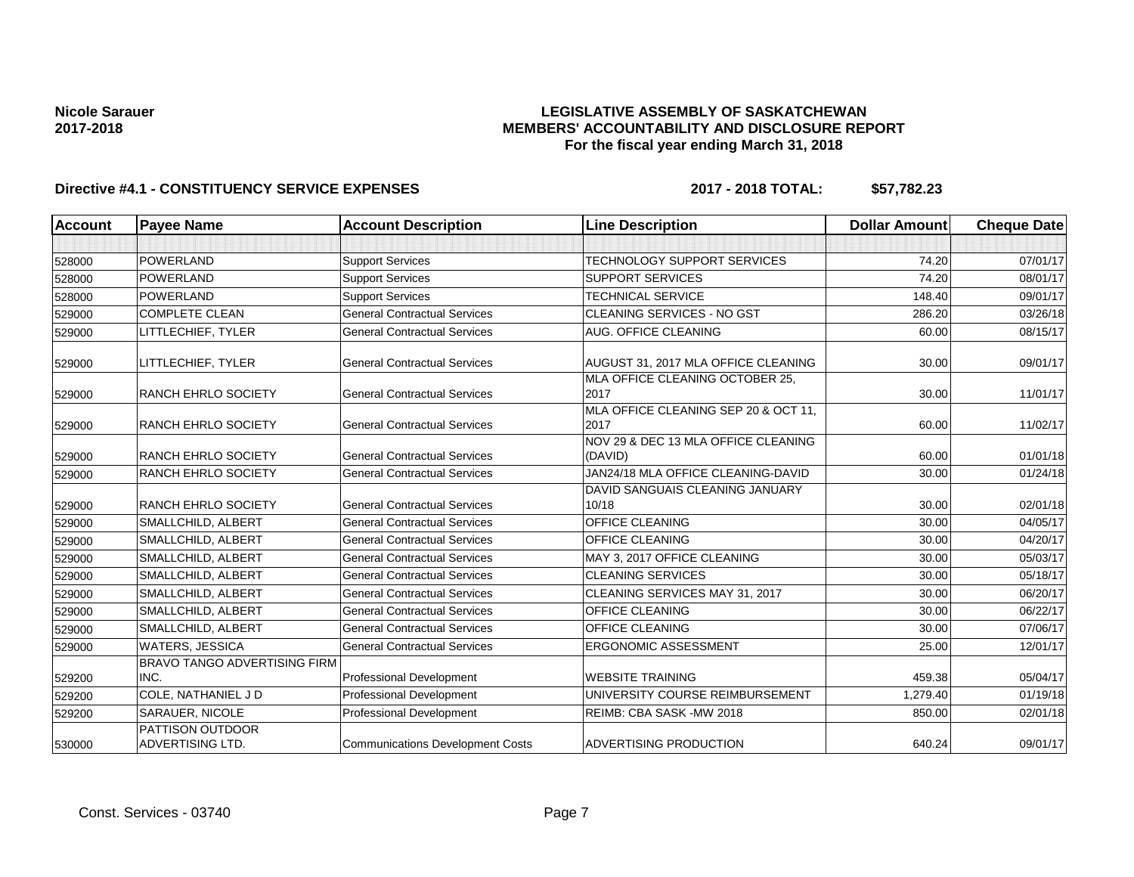### **LEGISLATIVE ASSEMBLY OF SASKATCHEWAN MEMBERS' ACCOUNTABILITY AND DISCLOSURE REPORT For the fiscal year ending March 31, 2018**

| <b>Account</b> | <b>Payee Name</b>                   | <b>Account Description</b>              | <b>Line Description</b>                      | <b>Dollar Amount</b> | <b>Cheque Date</b> |
|----------------|-------------------------------------|-----------------------------------------|----------------------------------------------|----------------------|--------------------|
|                |                                     |                                         |                                              |                      |                    |
| 528000         | POWERLAND                           | <b>Support Services</b>                 | <b>TECHNOLOGY SUPPORT SERVICES</b>           | 74.20                | 07/01/17           |
| 528000         | <b>POWERLAND</b>                    | <b>Support Services</b>                 | <b>SUPPORT SERVICES</b>                      | 74.20                | 08/01/17           |
| 528000         | POWERLAND                           | <b>Support Services</b>                 | <b>TECHNICAL SERVICE</b>                     | 148.40               | 09/01/17           |
| 529000         | <b>COMPLETE CLEAN</b>               | <b>General Contractual Services</b>     | <b>CLEANING SERVICES - NO GST</b>            | 286.20               | 03/26/18           |
| 529000         | LITTLECHIEF, TYLER                  | <b>General Contractual Services</b>     | AUG. OFFICE CLEANING                         | 60.00                | 08/15/17           |
| 529000         | LITTLECHIEF, TYLER                  | <b>General Contractual Services</b>     | AUGUST 31, 2017 MLA OFFICE CLEANING          | 30.00                | 09/01/17           |
|                |                                     |                                         | MLA OFFICE CLEANING OCTOBER 25,              |                      |                    |
| 529000         | <b>RANCH EHRLO SOCIETY</b>          | <b>General Contractual Services</b>     | 2017                                         | 30.00                | 11/01/17           |
| 529000         | <b>RANCH EHRLO SOCIETY</b>          | <b>General Contractual Services</b>     | MLA OFFICE CLEANING SEP 20 & OCT 11,<br>2017 | 60.00                | 11/02/17           |
|                |                                     |                                         | NOV 29 & DEC 13 MLA OFFICE CLEANING          |                      |                    |
| 529000         | <b>RANCH EHRLO SOCIETY</b>          | <b>General Contractual Services</b>     | (DAVID)                                      | 60.00                | 01/01/18           |
| 529000         | <b>RANCH EHRLO SOCIETY</b>          | <b>General Contractual Services</b>     | JAN24/18 MLA OFFICE CLEANING-DAVID           | 30.00                | 01/24/18           |
|                |                                     |                                         | DAVID SANGUAIS CLEANING JANUARY              |                      |                    |
| 529000         | <b>RANCH EHRLO SOCIETY</b>          | <b>General Contractual Services</b>     | 10/18                                        | 30.00                | 02/01/18           |
| 529000         | SMALLCHILD, ALBERT                  | <b>General Contractual Services</b>     | <b>OFFICE CLEANING</b>                       | 30.00                | 04/05/17           |
| 529000         | SMALLCHILD, ALBERT                  | <b>General Contractual Services</b>     | <b>OFFICE CLEANING</b>                       | 30.00                | 04/20/17           |
| 529000         | SMALLCHILD, ALBERT                  | <b>General Contractual Services</b>     | MAY 3, 2017 OFFICE CLEANING                  | 30.00                | 05/03/17           |
| 529000         | SMALLCHILD, ALBERT                  | <b>General Contractual Services</b>     | <b>CLEANING SERVICES</b>                     | 30.00                | 05/18/17           |
| 529000         | SMALLCHILD, ALBERT                  | <b>General Contractual Services</b>     | CLEANING SERVICES MAY 31, 2017               | 30.00                | 06/20/17           |
| 529000         | SMALLCHILD, ALBERT                  | <b>General Contractual Services</b>     | <b>OFFICE CLEANING</b>                       | 30.00                | 06/22/17           |
| 529000         | SMALLCHILD, ALBERT                  | <b>General Contractual Services</b>     | <b>OFFICE CLEANING</b>                       | 30.00                | 07/06/17           |
| 529000         | <b>WATERS, JESSICA</b>              | <b>General Contractual Services</b>     | <b>ERGONOMIC ASSESSMENT</b>                  | 25.00                | 12/01/17           |
|                | <b>BRAVO TANGO ADVERTISING FIRM</b> |                                         |                                              |                      |                    |
| 529200         | INC.                                | <b>Professional Development</b>         | <b>WEBSITE TRAINING</b>                      | 459.38               | 05/04/17           |
| 529200         | COLE, NATHANIEL J D                 | <b>Professional Development</b>         | UNIVERSITY COURSE REIMBURSEMENT              | 1,279.40             | 01/19/18           |
| 529200         | SARAUER, NICOLE                     | Professional Development                | REIMB: CBA SASK-MW 2018                      | 850.00               | 02/01/18           |
|                | <b>PATTISON OUTDOOR</b>             |                                         |                                              |                      |                    |
| 530000         | <b>ADVERTISING LTD.</b>             | <b>Communications Development Costs</b> | ADVERTISING PRODUCTION                       | 640.24               | 09/01/17           |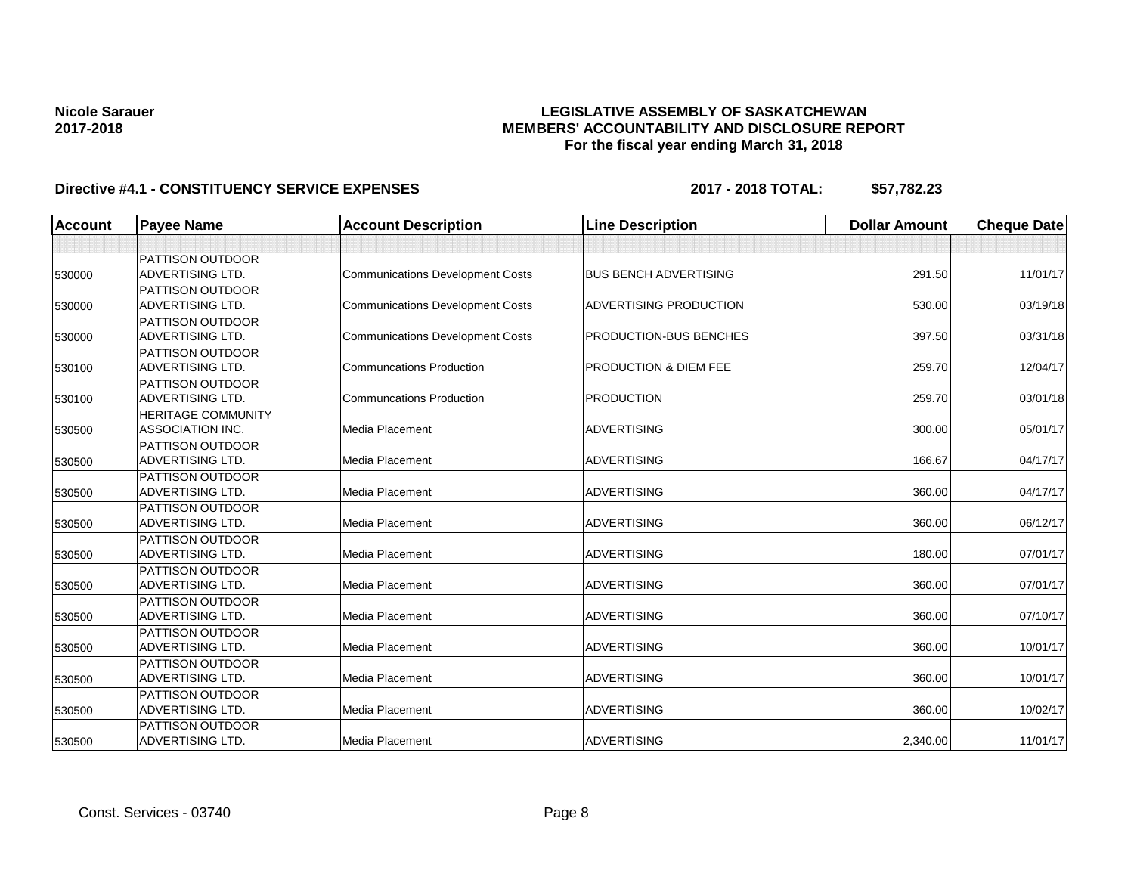### **LEGISLATIVE ASSEMBLY OF SASKATCHEWAN MEMBERS' ACCOUNTABILITY AND DISCLOSURE REPORT For the fiscal year ending March 31, 2018**

| <b>Account</b> | <b>Payee Name</b>         | <b>Account Description</b>              | <b>Line Description</b>          | <b>Dollar Amount</b> | <b>Cheque Date</b> |
|----------------|---------------------------|-----------------------------------------|----------------------------------|----------------------|--------------------|
|                |                           |                                         |                                  |                      |                    |
|                | <b>PATTISON OUTDOOR</b>   |                                         |                                  |                      |                    |
| 530000         | <b>ADVERTISING LTD.</b>   | <b>Communications Development Costs</b> | <b>BUS BENCH ADVERTISING</b>     | 291.50               | 11/01/17           |
|                | <b>PATTISON OUTDOOR</b>   |                                         |                                  |                      |                    |
| 530000         | <b>ADVERTISING LTD.</b>   | <b>Communications Development Costs</b> | ADVERTISING PRODUCTION           | 530.00               | 03/19/18           |
|                | <b>PATTISON OUTDOOR</b>   |                                         |                                  |                      |                    |
| 530000         | <b>ADVERTISING LTD.</b>   | <b>Communications Development Costs</b> | PRODUCTION-BUS BENCHES           | 397.50               | 03/31/18           |
|                | <b>PATTISON OUTDOOR</b>   |                                         |                                  |                      |                    |
| 530100         | <b>ADVERTISING LTD.</b>   | <b>Communcations Production</b>         | <b>PRODUCTION &amp; DIEM FEE</b> | 259.70               | 12/04/17           |
|                | <b>PATTISON OUTDOOR</b>   |                                         |                                  |                      |                    |
| 530100         | <b>ADVERTISING LTD.</b>   | <b>Communcations Production</b>         | <b>PRODUCTION</b>                | 259.70               | 03/01/18           |
|                | <b>HERITAGE COMMUNITY</b> |                                         |                                  |                      |                    |
| 530500         | <b>ASSOCIATION INC.</b>   | <b>Media Placement</b>                  | <b>ADVERTISING</b>               | 300.00               | 05/01/17           |
|                | <b>PATTISON OUTDOOR</b>   |                                         |                                  |                      |                    |
| 530500         | <b>ADVERTISING LTD.</b>   | Media Placement                         | <b>ADVERTISING</b>               | 166.67               | 04/17/17           |
|                | <b>PATTISON OUTDOOR</b>   |                                         |                                  |                      |                    |
| 530500         | <b>ADVERTISING LTD.</b>   | Media Placement                         | <b>ADVERTISING</b>               | 360.00               | 04/17/17           |
|                | <b>PATTISON OUTDOOR</b>   |                                         |                                  |                      |                    |
| 530500         | <b>ADVERTISING LTD.</b>   | <b>Media Placement</b>                  | <b>ADVERTISING</b>               | 360.00               | 06/12/17           |
|                | <b>PATTISON OUTDOOR</b>   |                                         |                                  |                      |                    |
| 530500         | <b>ADVERTISING LTD.</b>   | Media Placement                         | <b>ADVERTISING</b>               | 180.00               | 07/01/17           |
|                | <b>PATTISON OUTDOOR</b>   |                                         |                                  |                      |                    |
| 530500         | <b>ADVERTISING LTD.</b>   | Media Placement                         | <b>ADVERTISING</b>               | 360.00               | 07/01/17           |
|                | <b>PATTISON OUTDOOR</b>   |                                         |                                  |                      |                    |
| 530500         | <b>ADVERTISING LTD.</b>   | Media Placement                         | <b>ADVERTISING</b>               | 360.00               | 07/10/17           |
|                | <b>PATTISON OUTDOOR</b>   |                                         |                                  |                      |                    |
| 530500         | <b>ADVERTISING LTD.</b>   | Media Placement                         | <b>ADVERTISING</b>               | 360.00               | 10/01/17           |
|                | <b>PATTISON OUTDOOR</b>   |                                         |                                  |                      |                    |
| 530500         | <b>ADVERTISING LTD.</b>   | Media Placement                         | <b>ADVERTISING</b>               | 360.00               | 10/01/17           |
|                | <b>PATTISON OUTDOOR</b>   |                                         |                                  |                      |                    |
| 530500         | <b>ADVERTISING LTD.</b>   | Media Placement                         | <b>ADVERTISING</b>               | 360.00               | 10/02/17           |
|                | <b>PATTISON OUTDOOR</b>   |                                         |                                  |                      |                    |
| 530500         | <b>ADVERTISING LTD.</b>   | Media Placement                         | <b>ADVERTISING</b>               | 2,340.00             | 11/01/17           |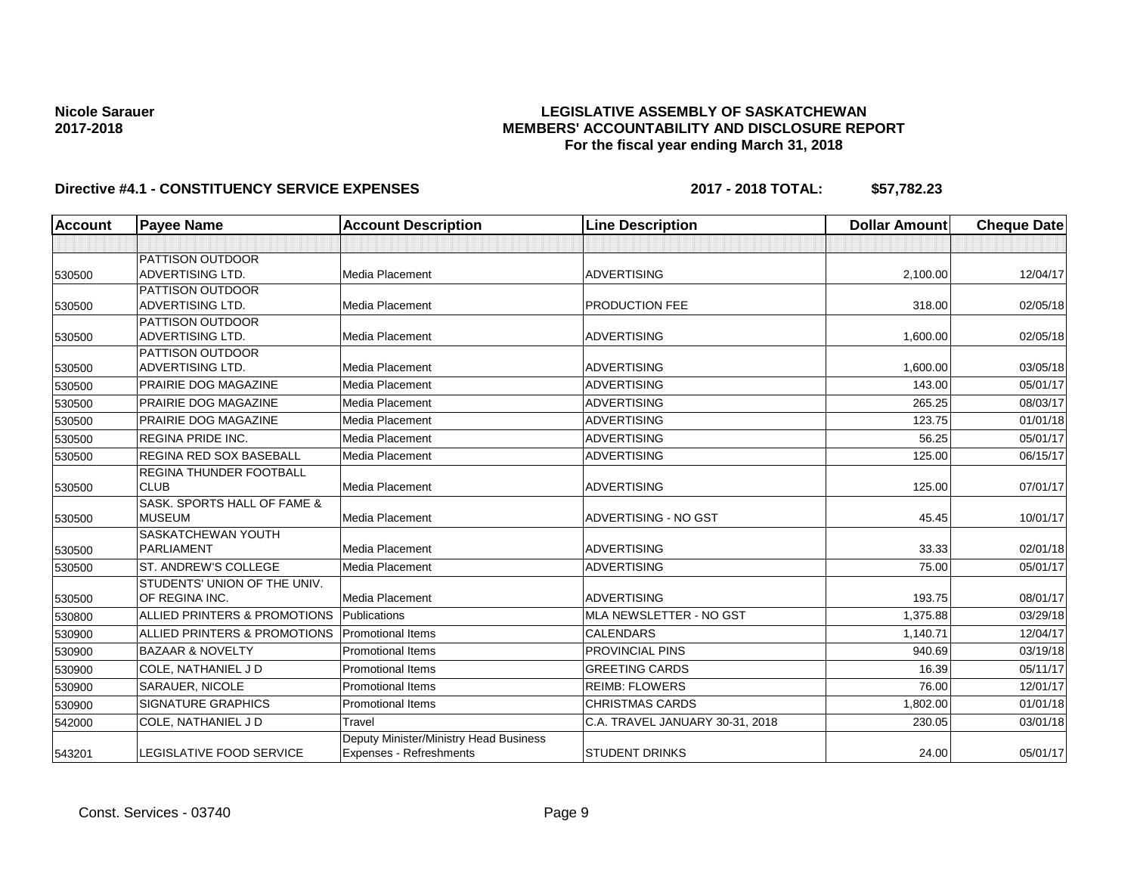### **LEGISLATIVE ASSEMBLY OF SASKATCHEWAN MEMBERS' ACCOUNTABILITY AND DISCLOSURE REPORT For the fiscal year ending March 31, 2018**

| Account | <b>Payee Name</b>                              | <b>Account Description</b>                                        | <b>Line Description</b>         | <b>Dollar Amount</b> | <b>Cheque Date</b> |
|---------|------------------------------------------------|-------------------------------------------------------------------|---------------------------------|----------------------|--------------------|
|         |                                                |                                                                   |                                 |                      |                    |
| 530500  | PATTISON OUTDOOR<br><b>ADVERTISING LTD.</b>    | Media Placement                                                   | <b>ADVERTISING</b>              | 2,100.00             | 12/04/17           |
|         | PATTISON OUTDOOR                               |                                                                   |                                 |                      |                    |
| 530500  | <b>ADVERTISING LTD.</b>                        | Media Placement                                                   | PRODUCTION FEE                  | 318.00               | 02/05/18           |
| 530500  | PATTISON OUTDOOR<br>ADVERTISING LTD.           | Media Placement                                                   | <b>ADVERTISING</b>              | 1,600.00             | 02/05/18           |
| 530500  | PATTISON OUTDOOR<br><b>ADVERTISING LTD.</b>    | Media Placement                                                   | <b>ADVERTISING</b>              | 1,600.00             | 03/05/18           |
| 530500  | PRAIRIE DOG MAGAZINE                           | Media Placement                                                   | <b>ADVERTISING</b>              | 143.00               | 05/01/17           |
| 530500  | PRAIRIE DOG MAGAZINE                           | Media Placement                                                   | <b>ADVERTISING</b>              | 265.25               | 08/03/17           |
| 530500  | PRAIRIE DOG MAGAZINE                           | Media Placement                                                   | <b>ADVERTISING</b>              | 123.75               | 01/01/18           |
| 530500  | <b>REGINA PRIDE INC.</b>                       | Media Placement                                                   | <b>ADVERTISING</b>              | 56.25                | 05/01/17           |
| 530500  | <b>REGINA RED SOX BASEBALL</b>                 | Media Placement                                                   | <b>ADVERTISING</b>              | 125.00               | 06/15/17           |
| 530500  | <b>REGINA THUNDER FOOTBALL</b><br><b>CLUB</b>  | Media Placement                                                   | <b>ADVERTISING</b>              | 125.00               | 07/01/17           |
| 530500  | SASK, SPORTS HALL OF FAME &<br><b>MUSEUM</b>   | Media Placement                                                   | ADVERTISING - NO GST            | 45.45                | 10/01/17           |
| 530500  | SASKATCHEWAN YOUTH<br><b>PARLIAMENT</b>        | Media Placement                                                   | <b>ADVERTISING</b>              | 33.33                | 02/01/18           |
| 530500  | ST. ANDREW'S COLLEGE                           | Media Placement                                                   | <b>ADVERTISING</b>              | 75.00                | 05/01/17           |
| 530500  | STUDENTS' UNION OF THE UNIV.<br>OF REGINA INC. | Media Placement                                                   | <b>ADVERTISING</b>              | 193.75               | 08/01/17           |
| 530800  | ALLIED PRINTERS & PROMOTIONS                   | Publications                                                      | MLA NEWSLETTER - NO GST         | 1,375.88             | 03/29/18           |
| 530900  | ALLIED PRINTERS & PROMOTIONS                   | <b>Promotional Items</b>                                          | <b>CALENDARS</b>                | 1.140.71             | 12/04/17           |
| 530900  | <b>BAZAAR &amp; NOVELTY</b>                    | <b>Promotional Items</b>                                          | <b>PROVINCIAL PINS</b>          | 940.69               | 03/19/18           |
| 530900  | COLE, NATHANIEL J D                            | Promotional Items                                                 | <b>GREETING CARDS</b>           | 16.39                | 05/11/17           |
| 530900  | SARAUER, NICOLE                                | <b>Promotional Items</b>                                          | <b>REIMB: FLOWERS</b>           | 76.00                | 12/01/17           |
| 530900  | <b>SIGNATURE GRAPHICS</b>                      | <b>Promotional Items</b>                                          | <b>CHRISTMAS CARDS</b>          | 1,802.00             | 01/01/18           |
| 542000  | COLE, NATHANIEL J D                            | Travel                                                            | C.A. TRAVEL JANUARY 30-31, 2018 | 230.05               | 03/01/18           |
| 543201  | <b>LEGISLATIVE FOOD SERVICE</b>                | Deputy Minister/Ministry Head Business<br>Expenses - Refreshments | <b>STUDENT DRINKS</b>           | 24.00                | 05/01/17           |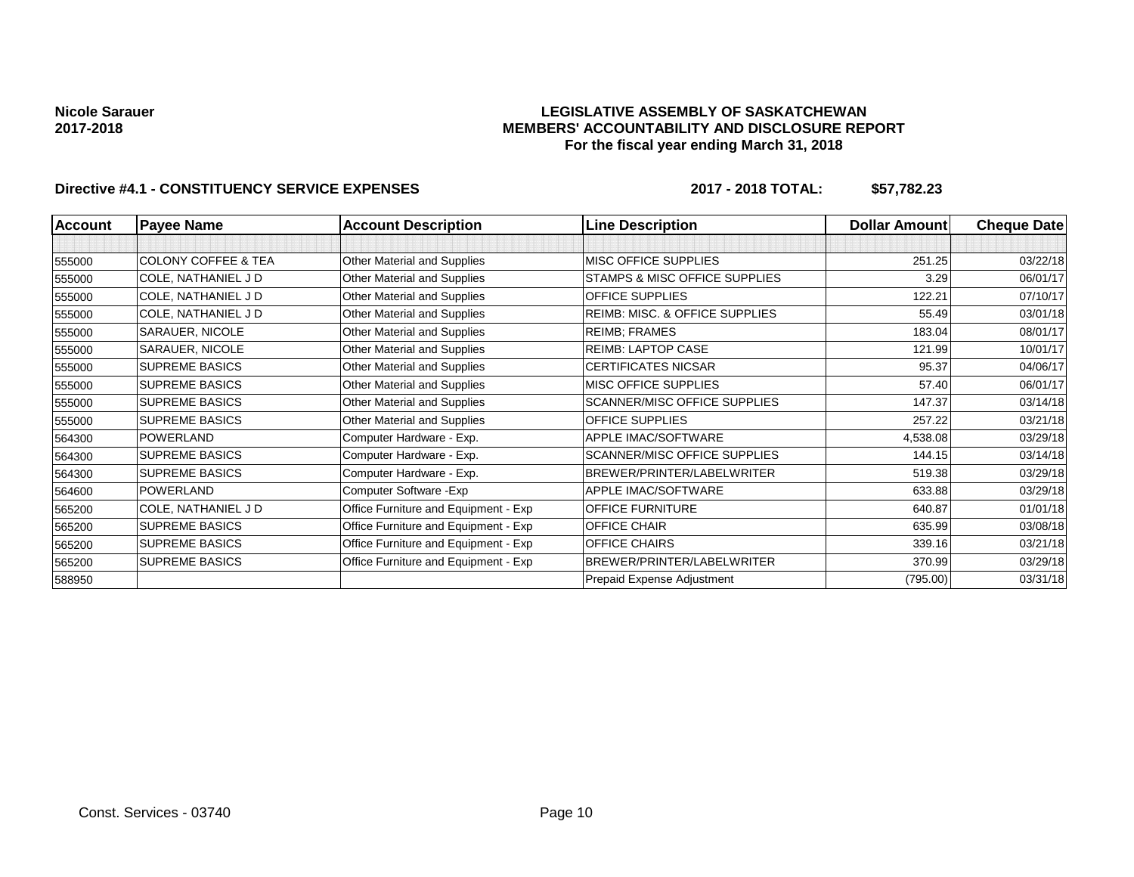#### **LEGISLATIVE ASSEMBLY OF SASKATCHEWAN MEMBERS' ACCOUNTABILITY AND DISCLOSURE REPORT For the fiscal year ending March 31, 2018**

| <b>Account</b> | <b>Payee Name</b>              | <b>Account Description</b>           | <b>Line Description</b>             | <b>Dollar Amount</b> | <b>Cheque Date</b> |
|----------------|--------------------------------|--------------------------------------|-------------------------------------|----------------------|--------------------|
|                |                                |                                      |                                     |                      |                    |
| 555000         | <b>COLONY COFFEE &amp; TEA</b> | Other Material and Supplies          | <b>MISC OFFICE SUPPLIES</b>         | 251.25               | 03/22/18           |
| 555000         | COLE, NATHANIEL J D            | Other Material and Supplies          | STAMPS & MISC OFFICE SUPPLIES       | 3.29                 | 06/01/17           |
| 555000         | COLE, NATHANIEL J D            | Other Material and Supplies          | <b>OFFICE SUPPLIES</b>              | 122.21               | 07/10/17           |
| 555000         | COLE, NATHANIEL J D            | Other Material and Supplies          | REIMB: MISC. & OFFICE SUPPLIES      | 55.49                | 03/01/18           |
| 555000         | SARAUER, NICOLE                | Other Material and Supplies          | <b>REIMB: FRAMES</b>                | 183.04               | 08/01/17           |
| 555000         | SARAUER, NICOLE                | Other Material and Supplies          | <b>REIMB: LAPTOP CASE</b>           | 121.99               | 10/01/17           |
| 555000         | <b>SUPREME BASICS</b>          | Other Material and Supplies          | <b>CERTIFICATES NICSAR</b>          | 95.37                | 04/06/17           |
| 555000         | <b>SUPREME BASICS</b>          | Other Material and Supplies          | <b>MISC OFFICE SUPPLIES</b>         | 57.40                | 06/01/17           |
| 555000         | <b>SUPREME BASICS</b>          | Other Material and Supplies          | <b>SCANNER/MISC OFFICE SUPPLIES</b> | 147.37               | 03/14/18           |
| 555000         | <b>SUPREME BASICS</b>          | Other Material and Supplies          | <b>OFFICE SUPPLIES</b>              | 257.22               | 03/21/18           |
| 564300         | POWERLAND                      | Computer Hardware - Exp.             | APPLE IMAC/SOFTWARE                 | 4,538.08             | 03/29/18           |
| 564300         | <b>SUPREME BASICS</b>          | Computer Hardware - Exp.             | <b>SCANNER/MISC OFFICE SUPPLIES</b> | 144.15               | 03/14/18           |
| 564300         | <b>SUPREME BASICS</b>          | Computer Hardware - Exp.             | BREWER/PRINTER/LABELWRITER          | 519.38               | 03/29/18           |
| 564600         | <b>POWERLAND</b>               | Computer Software - Exp              | APPLE IMAC/SOFTWARE                 | 633.88               | 03/29/18           |
| 565200         | COLE, NATHANIEL J D            | Office Furniture and Equipment - Exp | <b>OFFICE FURNITURE</b>             | 640.87               | 01/01/18           |
| 565200         | <b>SUPREME BASICS</b>          | Office Furniture and Equipment - Exp | <b>OFFICE CHAIR</b>                 | 635.99               | 03/08/18           |
| 565200         | <b>SUPREME BASICS</b>          | Office Furniture and Equipment - Exp | <b>OFFICE CHAIRS</b>                | 339.16               | 03/21/18           |
| 565200         | <b>SUPREME BASICS</b>          | Office Furniture and Equipment - Exp | BREWER/PRINTER/LABELWRITER          | 370.99               | 03/29/18           |
| 588950         |                                |                                      | Prepaid Expense Adjustment          | (795.00)             | 03/31/18           |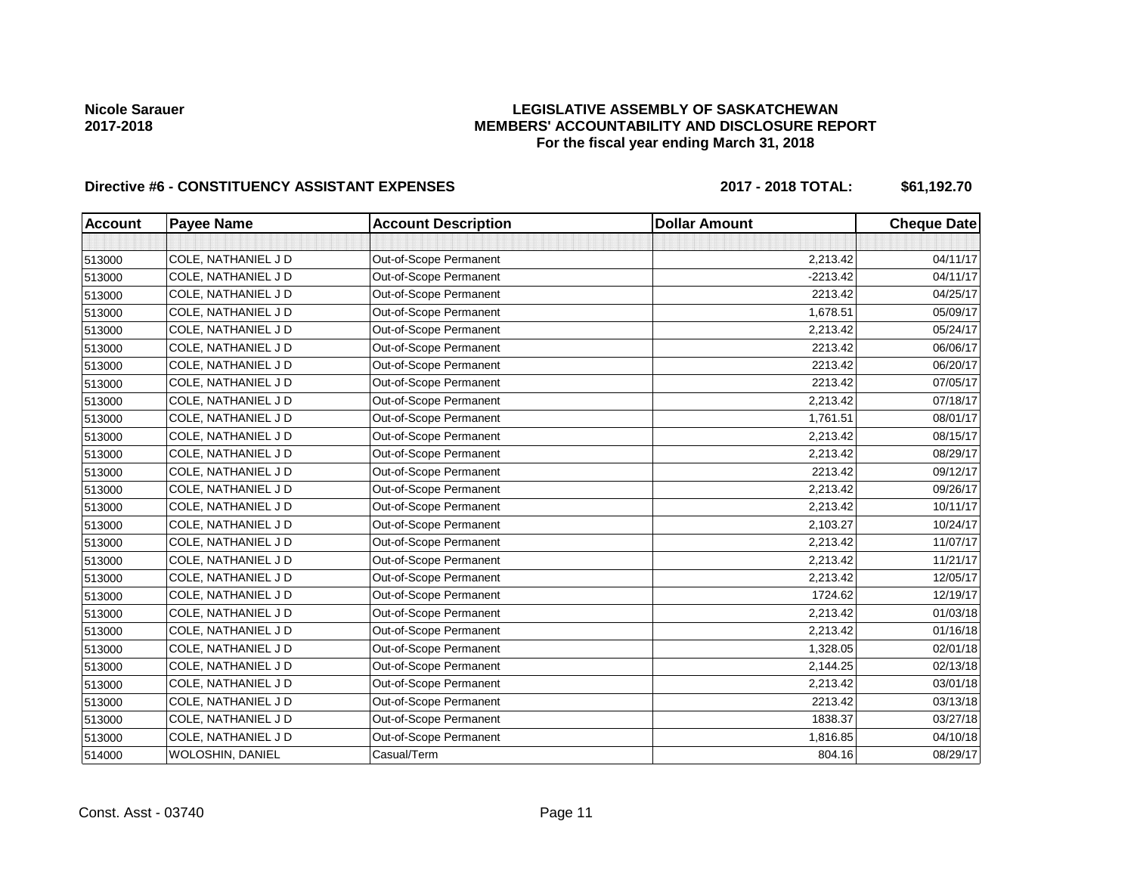### **LEGISLATIVE ASSEMBLY OF SASKATCHEWAN MEMBERS' ACCOUNTABILITY AND DISCLOSURE REPORT For the fiscal year ending March 31, 2018**

# Directive #6 - CONSTITUENCY ASSISTANT EXPENSES 2017 - 2018 TOTAL: \$61,192.70

| <b>Account</b> | <b>Payee Name</b>   | <b>Account Description</b> | <b>Dollar Amount</b> | <b>Cheque Date</b> |
|----------------|---------------------|----------------------------|----------------------|--------------------|
|                |                     |                            |                      |                    |
| 513000         | COLE, NATHANIEL J D | Out-of-Scope Permanent     | 2,213.42             | 04/11/17           |
| 513000         | COLE, NATHANIEL J D | Out-of-Scope Permanent     | $-2213.42$           | 04/11/17           |
| 513000         | COLE, NATHANIEL J D | Out-of-Scope Permanent     | 2213.42              | 04/25/17           |
| 513000         | COLE, NATHANIEL J D | Out-of-Scope Permanent     | 1,678.51             | 05/09/17           |
| 513000         | COLE, NATHANIEL J D | Out-of-Scope Permanent     | 2,213.42             | 05/24/17           |
| 513000         | COLE, NATHANIEL J D | Out-of-Scope Permanent     | 2213.42              | 06/06/17           |
| 513000         | COLE, NATHANIEL J D | Out-of-Scope Permanent     | 2213.42              | 06/20/17           |
| 513000         | COLE, NATHANIEL J D | Out-of-Scope Permanent     | 2213.42              | 07/05/17           |
| 513000         | COLE, NATHANIEL J D | Out-of-Scope Permanent     | 2,213.42             | 07/18/17           |
| 513000         | COLE, NATHANIEL J D | Out-of-Scope Permanent     | 1,761.51             | 08/01/17           |
| 513000         | COLE, NATHANIEL J D | Out-of-Scope Permanent     | 2,213.42             | 08/15/17           |
| 513000         | COLE, NATHANIEL J D | Out-of-Scope Permanent     | 2,213.42             | 08/29/17           |
| 513000         | COLE, NATHANIEL J D | Out-of-Scope Permanent     | 2213.42              | 09/12/17           |
| 513000         | COLE, NATHANIEL J D | Out-of-Scope Permanent     | 2,213.42             | 09/26/17           |
| 513000         | COLE, NATHANIEL J D | Out-of-Scope Permanent     | 2,213.42             | 10/11/17           |
| 513000         | COLE, NATHANIEL J D | Out-of-Scope Permanent     | 2,103.27             | 10/24/17           |
| 513000         | COLE, NATHANIEL J D | Out-of-Scope Permanent     | 2,213.42             | 11/07/17           |
| 513000         | COLE, NATHANIEL J D | Out-of-Scope Permanent     | 2,213.42             | 11/21/17           |
| 513000         | COLE, NATHANIEL J D | Out-of-Scope Permanent     | 2,213.42             | 12/05/17           |
| 513000         | COLE, NATHANIEL J D | Out-of-Scope Permanent     | 1724.62              | 12/19/17           |
| 513000         | COLE, NATHANIEL J D | Out-of-Scope Permanent     | 2,213.42             | 01/03/18           |
| 513000         | COLE, NATHANIEL J D | Out-of-Scope Permanent     | 2,213.42             | 01/16/18           |
| 513000         | COLE, NATHANIEL J D | Out-of-Scope Permanent     | 1,328.05             | 02/01/18           |
| 513000         | COLE, NATHANIEL J D | Out-of-Scope Permanent     | 2,144.25             | 02/13/18           |
| 513000         | COLE, NATHANIEL J D | Out-of-Scope Permanent     | 2,213.42             | 03/01/18           |
| 513000         | COLE, NATHANIEL J D | Out-of-Scope Permanent     | 2213.42              | 03/13/18           |
| 513000         | COLE, NATHANIEL J D | Out-of-Scope Permanent     | 1838.37              | 03/27/18           |
| 513000         | COLE, NATHANIEL J D | Out-of-Scope Permanent     | 1,816.85             | 04/10/18           |
| 514000         | WOLOSHIN, DANIEL    | Casual/Term                | 804.16               | 08/29/17           |